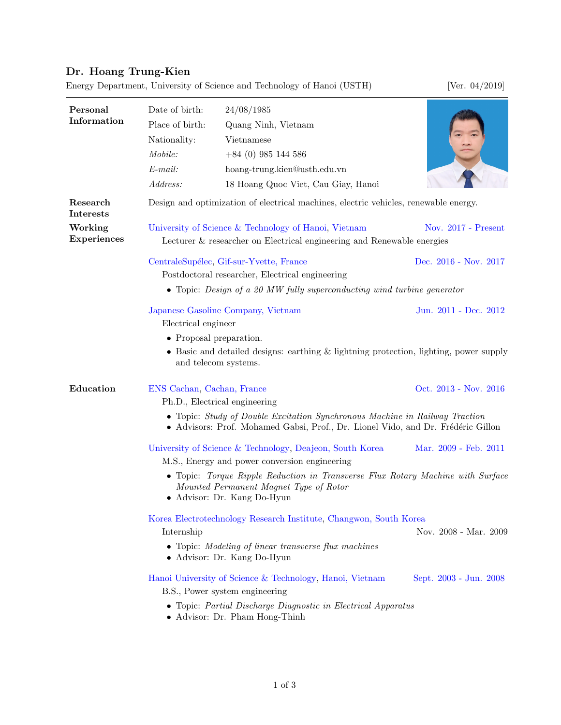## Dr. Hoang Trung-Kien

Energy Department, University of Science and Technology of Hanoi (USTH) [Ver. 04/2019]

Personal Information Date of birth: 24/08/1985 Place of birth: Quang Ninh, Vietnam Nationality: Vietnamese  $\textit{Mobile:} \qquad +84 \ (0) \ 985 \ 144 \ 586$ E-mail: [hoang-trung.kien@usth.edu.vn](mailto:hoang-trung.kien@usth.edu.vn) Address: 18 Hoang Quoc Viet, Cau Giay, Hanoi Research Interests Design and optimization of electrical machines, electric vehicles, renewable energy. Working Experiences [University of Science & Technology of Hanoi,](https://www.usth.edu.vn/) Vietnam Nov. 2017 - Present Lecturer & researcher on Electrical engineering and Renewable energies CentraleSupélec, Gif-sur-Yvette, France Dec. 2016 - Nov. 2017 Postdoctoral researcher, Electrical engineering • Topic: Design of a 20 MW fully superconducting wind turbine generator Japanese Gasoline Company, Vietnam Jun. 2011 - Dec. 2012 Electrical engineer • Proposal preparation. • Basic and detailed designs: earthing & lightning protection, lighting, power supply and telecom systems. Education [ENS Cachan,](http://www.ens-cachan.fr/) Cachan, France Oct. 2013 - Nov. 2016 Ph.D., Electrical engineering • Topic: Study of Double Excitation Synchronous Machine in Railway Traction • Advisors: Prof. Mohamed Gabsi, Prof., Dr. Lionel Vido, and Dr. Frédéric Gillon [University of Science & Technology,](http://www.ust.ac.kr/en/index.do) Deajeon, South Korea Mar. 2009 - Feb. 2011 M.S., Energy and power conversion engineering • Topic: Torque Ripple Reduction in Transverse Flux Rotary Machine with Surface Mounted Permanent Magnet Type of Rotor • Advisor: Dr. Kang Do-Hyun [Korea Electrotechnology Research Institute,](https://www.keri.re.kr/html/en/) Changwon, South Korea Internship Nov. 2008 - Mar. 2009 • Topic: Modeling of linear transverse flux machines • Advisor: Dr. Kang Do-Hyun [Hanoi University of Science & Technology,](http://en.hust.edu.vn/home) Hanoi, Vietnam Sept. 2003 - Jun. 2008 B.S., Power system engineering • Topic: Partial Discharge Diagnostic in Electrical Apparatus • Advisor: Dr. Pham Hong-Thinh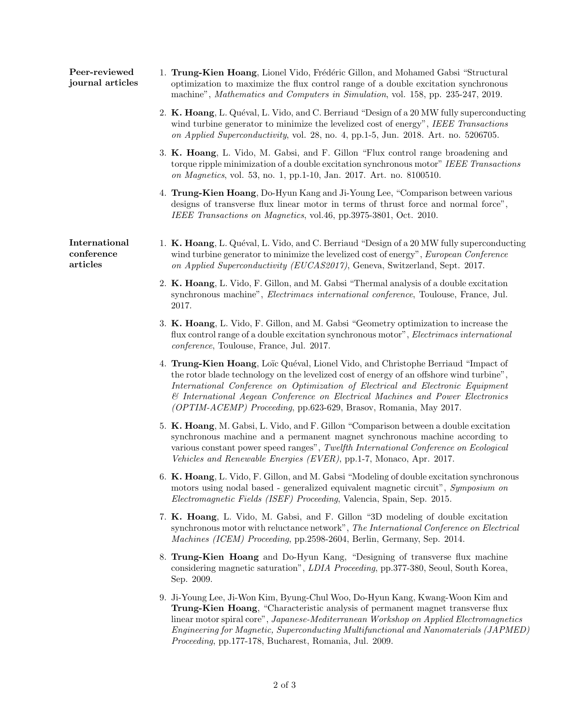| Peer-reviewed<br>journal articles       | 1. Trung-Kien Hoang, Lionel Vido, Frédéric Gillon, and Mohamed Gabsi "Structural"<br>optimization to maximize the flux control range of a double excitation synchronous<br>machine", Mathematics and Computers in Simulation, vol. 158, pp. 235-247, 2019.                                                                                                                                                             |
|-----------------------------------------|------------------------------------------------------------------------------------------------------------------------------------------------------------------------------------------------------------------------------------------------------------------------------------------------------------------------------------------------------------------------------------------------------------------------|
|                                         | 2. K. Hoang, L. Quéval, L. Vido, and C. Berriaud "Design of a 20 MW fully superconducting<br>wind turbine generator to minimize the levelized cost of energy", IEEE Transactions<br>on Applied Superconductivity, vol. 28, no. 4, pp.1-5, Jun. 2018. Art. no. 5206705.                                                                                                                                                 |
|                                         | 3. K. Hoang, L. Vido, M. Gabsi, and F. Gillon "Flux control range broadening and<br>torque ripple minimization of a double excitation synchronous motor" IEEE Transactions<br>on Magnetics, vol. 53, no. 1, pp.1-10, Jan. 2017. Art. no. 8100510.                                                                                                                                                                      |
|                                         | 4. Trung-Kien Hoang, Do-Hyun Kang and Ji-Young Lee, "Comparison between various<br>designs of transverse flux linear motor in terms of thrust force and normal force",<br>IEEE Transactions on Magnetics, vol.46, pp.3975-3801, Oct. 2010.                                                                                                                                                                             |
| International<br>conference<br>articles | 1. K. Hoang, L. Quéval, L. Vido, and C. Berriaud "Design of a 20 MW fully superconducting<br>wind turbine generator to minimize the levelized cost of energy", European Conference<br>on Applied Superconductivity (EUCAS2017), Geneva, Switzerland, Sept. 2017.                                                                                                                                                       |
|                                         | 2. K. Hoang, L. Vido, F. Gillon, and M. Gabsi "Thermal analysis of a double excitation<br>synchronous machine", <i>Electrimacs international conference</i> , Toulouse, France, Jul.<br>2017.                                                                                                                                                                                                                          |
|                                         | 3. K. Hoang, L. Vido, F. Gillon, and M. Gabsi "Geometry optimization to increase the<br>flux control range of a double excitation synchronous motor", Electrimacs international<br>conference, Toulouse, France, Jul. 2017.                                                                                                                                                                                            |
|                                         | 4. Trung-Kien Hoang, Loïc Quéval, Lionel Vido, and Christophe Berriaud "Impact of<br>the rotor blade technology on the levelized cost of energy of an offshore wind turbine",<br>International Conference on Optimization of Electrical and Electronic Equipment<br>& International Aegean Conference on Electrical Machines and Power Electronics<br>(OPTIM-ACEMP) Proceeding, pp.623-629, Brasov, Romania, May 2017. |
|                                         | 5. K. Hoang, M. Gabsi, L. Vido, and F. Gillon "Comparison between a double excitation"<br>synchronous machine and a permanent magnet synchronous machine according to<br>various constant power speed ranges", Twelfth International Conference on Ecological<br>Vehicles and Renewable Energies (EVER), pp.1-7, Monaco, Apr. 2017.                                                                                    |
|                                         | 6. K. Hoang, L. Vido, F. Gillon, and M. Gabsi "Modeling of double excitation synchronous<br>motors using nodal based - generalized equivalent magnetic circuit", Symposium on<br>Electromagnetic Fields (ISEF) Proceeding, Valencia, Spain, Sep. 2015.                                                                                                                                                                 |
|                                         | 7. K. Hoang, L. Vido, M. Gabsi, and F. Gillon "3D modeling of double excitation"<br>synchronous motor with reluctance network", The International Conference on Electrical<br>Machines (ICEM) Proceeding, pp.2598-2604, Berlin, Germany, Sep. 2014.                                                                                                                                                                    |
|                                         | 8. Trung-Kien Hoang and Do-Hyun Kang, "Designing of transverse flux machine<br>considering magnetic saturation", LDIA Proceeding, pp.377-380, Seoul, South Korea,<br>Sep. 2009.                                                                                                                                                                                                                                        |
|                                         | 9. Ji-Young Lee, Ji-Won Kim, Byung-Chul Woo, Do-Hyun Kang, Kwang-Woon Kim and<br>Trung-Kien Hoang, "Characteristic analysis of permanent magnet transverse flux<br>linear motor spiral core", Japanese-Mediterranean Workshop on Applied Electromagnetics<br>Engineering for Magnetic, Superconducting Multifunctional and Nanomaterials (JAPMED)<br>Proceeding, pp.177-178, Bucharest, Romania, Jul. 2009.            |
|                                         |                                                                                                                                                                                                                                                                                                                                                                                                                        |